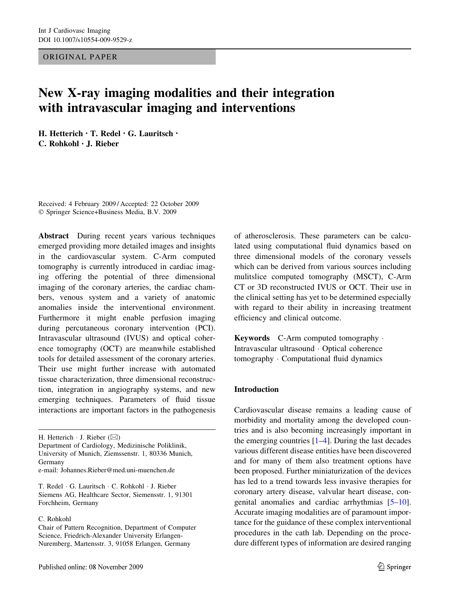ORIGINAL PAPER

# New X-ray imaging modalities and their integration with intravascular imaging and interventions

H. Hetterich • T. Redel • G. Lauritsch • C. Rohkohl • J. Rieber

Received: 4 February 2009 / Accepted: 22 October 2009 Springer Science+Business Media, B.V. 2009

Abstract During recent years various techniques emerged providing more detailed images and insights in the cardiovascular system. C-Arm computed tomography is currently introduced in cardiac imaging offering the potential of three dimensional imaging of the coronary arteries, the cardiac chambers, venous system and a variety of anatomic anomalies inside the interventional environment. Furthermore it might enable perfusion imaging during percutaneous coronary intervention (PCI). Intravascular ultrasound (IVUS) and optical coherence tomography (OCT) are meanwhile established tools for detailed assessment of the coronary arteries. Their use might further increase with automated tissue characterization, three dimensional reconstruction, integration in angiography systems, and new emerging techniques. Parameters of fluid tissue interactions are important factors in the pathogenesis

H. Hetterich  $\cdot$  J. Rieber ( $\boxtimes$ )

Department of Cardiology, Medizinische Poliklinik, University of Munich, Ziemssenstr. 1, 80336 Munich, Germany e-mail: Johannes.Rieber@med.uni-muenchen.de

T. Redel G. Lauritsch C. Rohkohl J. Rieber

Siemens AG, Healthcare Sector, Siemensstr. 1, 91301 Forchheim, Germany

C. Rohkohl

of atherosclerosis. These parameters can be calculated using computational fluid dynamics based on three dimensional models of the coronary vessels which can be derived from various sources including mulitslice computed tomography (MSCT), C-Arm CT or 3D reconstructed IVUS or OCT. Their use in the clinical setting has yet to be determined especially with regard to their ability in increasing treatment efficiency and clinical outcome.

Keywords C-Arm computed tomography . Intravascular ultrasound · Optical coherence tomography · Computational fluid dynamics

### Introduction

Cardiovascular disease remains a leading cause of morbidity and mortality among the developed countries and is also becoming increasingly important in the emerging countries  $[1-4]$ . During the last decades various different disease entities have been discovered and for many of them also treatment options have been proposed. Further miniaturization of the devices has led to a trend towards less invasive therapies for coronary artery disease, valvular heart disease, congenital anomalies and cardiac arrhythmias [[5–](#page-7-0)[10](#page-8-0)]. Accurate imaging modalities are of paramount importance for the guidance of these complex interventional procedures in the cath lab. Depending on the procedure different types of information are desired ranging

Chair of Pattern Recognition, Department of Computer Science, Friedrich-Alexander University Erlangen-Nuremberg, Martensstr. 3, 91058 Erlangen, Germany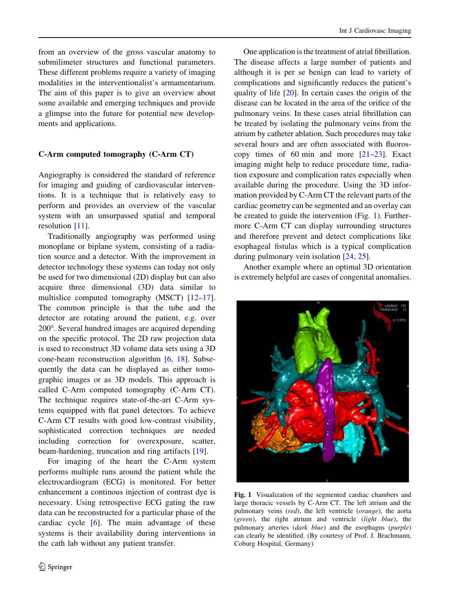from an overview of the gross vascular anatomy to submilimeter structures and functional parameters. These different problems require a variety of imaging modalities in the interventionalist's armamentarium. The aim of this paper is to give an overview about some available and emerging techniques and provide a glimpse into the future for potential new developments and applications.

#### C-Arm computed tomography (C-Arm CT)

Angiography is considered the standard of reference for imaging and guiding of cardiovascular interventions. It is a technique that is relatively easy to perform and provides an overview of the vascular system with an unsurpassed spatial and temporal resolution [\[11](#page-8-0)].

Traditionally angiography was performed using monoplane or biplane system, consisting of a radiation source and a detector. With the improvement in detector technology these systems can today not only be used for two dimensional (2D) display but can also acquire three dimensional (3D) data similar to multislice computed tomography (MSCT) [\[12–17](#page-8-0)]. The common principle is that the tube and the detector are rotating around the patient, e.g. over 200°. Several hundred images are acquired depending on the specific protocol. The 2D raw projection data is used to reconstruct 3D volume data sets using a 3D cone-beam reconstruction algorithm [\[6](#page-7-0), [18\]](#page-8-0). Subsequently the data can be displayed as either tomographic images or as 3D models. This approach is called C-Arm computed tomography (C-Arm CT). The technique requires state-of-the-art C-Arm systems equipped with flat panel detectors. To achieve C-Arm CT results with good low-contrast visibility, sophisticated correction techniques are needed including correction for overexposure, scatter, beam-hardening, truncation and ring artifacts [[19\]](#page-8-0).

For imaging of the heart the C-Arm system performs multiple runs around the patient while the electrocardiogram (ECG) is monitored. For better enhancement a continous injection of contrast dye is necessary. Using retrospective ECG gating the raw data can be reconstructed for a particular phase of the cardiac cycle [\[6](#page-7-0)]. The main advantage of these systems is their availability during interventions in the cath lab without any patient transfer.

One application is the treatment of atrial fibrillation. The disease affects a large number of patients and although it is per se benign can lead to variety of complications and significantly reduces the patient's quality of life [[20\]](#page-8-0). In certain cases the origin of the disease can be located in the area of the orifice of the pulmonary veins. In these cases atrial fibrillation can be treated by isolating the pulmonary veins from the atrium by catheter ablation. Such procedures may take several hours and are often associated with fluoroscopy times of 60 min and more [\[21–23](#page-8-0)]. Exact imaging might help to reduce procedure time, radiation exposure and complication rates especially when available during the procedure. Using the 3D information provided by C-Arm CT the relevant parts of the cardiac geometry can be segmented and an overlay can be created to guide the intervention (Fig. 1). Furthermore C-Arm CT can display surrounding structures and therefore prevent and detect complications like esophageal fistulas which is a typical complication during pulmonary vein isolation [\[24](#page-8-0), [25](#page-8-0)].

Another example where an optimal 3D orientation is extremely helpful are cases of congenital anomalies.



Fig. 1 Visualization of the segmented cardiac chambers and large thoracic vessels by C-Arm CT. The left atrium and the pulmonary veins (red), the left ventricle (orange), the aorta (green), the right atrium and ventricle (light blue), the pulmonary arteries (dark blue) and the esophagus (purple) can clearly be identified. (By courtesy of Prof. J. Brachmann, Coburg Hospital, Germany)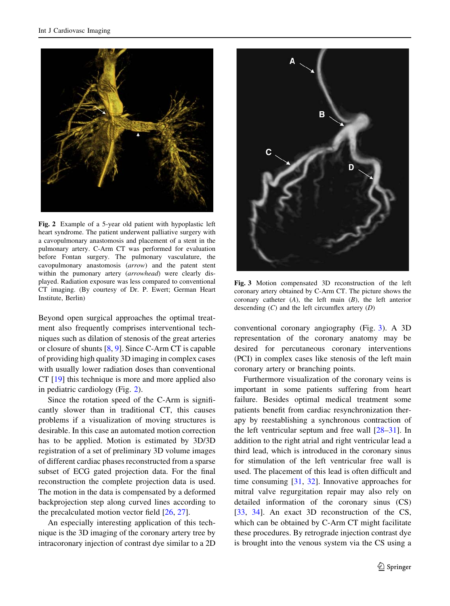

Fig. 2 Example of a 5-year old patient with hypoplastic left heart syndrome. The patient underwent palliative surgery with a cavopulmonary anastomosis and placement of a stent in the pulmonary artery. C-Arm CT was performed for evaluation before Fontan surgery. The pulmonary vasculature, the cavopulmonary anastomosis (arrow) and the patent stent within the pumonary artery (arrowhead) were clearly displayed. Radiation exposure was less compared to conventional CT imaging. (By courtesy of Dr. P. Ewert; German Heart Institute, Berlin)

Beyond open surgical approaches the optimal treatment also frequently comprises interventional techniques such as dilation of stenosis of the great arteries or closure of shunts [[8,](#page-8-0) [9\]](#page-8-0). Since C-Arm CT is capable of providing high quality 3D imaging in complex cases with usually lower radiation doses than conventional CT [[19\]](#page-8-0) this technique is more and more applied also in pediatric cardiology (Fig. 2).

Since the rotation speed of the C-Arm is significantly slower than in traditional CT, this causes problems if a visualization of moving structures is desirable. In this case an automated motion correction has to be applied. Motion is estimated by 3D/3D registration of a set of preliminary 3D volume images of different cardiac phases reconstructed from a sparse subset of ECG gated projection data. For the final reconstruction the complete projection data is used. The motion in the data is compensated by a deformed backprojection step along curved lines according to the precalculated motion vector field [[26,](#page-8-0) [27\]](#page-8-0).

An especially interesting application of this technique is the 3D imaging of the coronary artery tree by intracoronary injection of contrast dye similar to a 2D



Fig. 3 Motion compensated 3D reconstruction of the left coronary artery obtained by C-Arm CT. The picture shows the coronary catheter (A), the left main (B), the left anterior descending  $(C)$  and the left circumflex artery  $(D)$ 

conventional coronary angiography (Fig. 3). A 3D representation of the coronary anatomy may be desired for percutaneous coronary interventions (PCI) in complex cases like stenosis of the left main coronary artery or branching points.

Furthermore visualization of the coronary veins is important in some patients suffering from heart failure. Besides optimal medical treatment some patients benefit from cardiac resynchronization therapy by reestablishing a synchronous contraction of the left ventricular septum and free wall [[28–31\]](#page-8-0). In addition to the right atrial and right ventricular lead a third lead, which is introduced in the coronary sinus for stimulation of the left ventricular free wall is used. The placement of this lead is often difficult and time consuming [[31](#page-8-0), [32\]](#page-9-0). Innovative approaches for mitral valve regurgitation repair may also rely on detailed information of the coronary sinus (CS) [\[33](#page-9-0), [34](#page-9-0)]. An exact 3D reconstruction of the CS, which can be obtained by C-Arm CT might facilitate these procedures. By retrograde injection contrast dye is brought into the venous system via the CS using a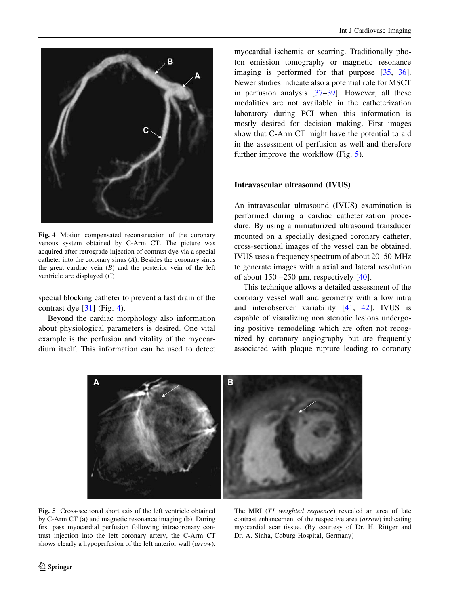

Fig. 4 Motion compensated reconstruction of the coronary venous system obtained by C-Arm CT. The picture was acquired after retrograde injection of contrast dye via a special catheter into the coronary sinus (A). Besides the coronary sinus the great cardiac vein  $(B)$  and the posterior vein of the left ventricle are displayed (C)

special blocking catheter to prevent a fast drain of the contrast dye [[31\]](#page-8-0) (Fig. 4).

Beyond the cardiac morphology also information about physiological parameters is desired. One vital example is the perfusion and vitality of the myocardium itself. This information can be used to detect myocardial ischemia or scarring. Traditionally photon emission tomography or magnetic resonance imaging is performed for that purpose [[35,](#page-9-0) [36](#page-9-0)]. Newer studies indicate also a potential role for MSCT in perfusion analysis [[37–39\]](#page-9-0). However, all these modalities are not available in the catheterization laboratory during PCI when this information is mostly desired for decision making. First images show that C-Arm CT might have the potential to aid in the assessment of perfusion as well and therefore further improve the workflow (Fig. 5).

#### Intravascular ultrasound (IVUS)

An intravascular ultrasound (IVUS) examination is performed during a cardiac catheterization procedure. By using a miniaturized ultrasound transducer mounted on a specially designed coronary catheter, cross-sectional images of the vessel can be obtained. IVUS uses a frequency spectrum of about 20–50 MHz to generate images with a axial and lateral resolution of about  $150 - 250$  µm, respectively  $[40]$ .

This technique allows a detailed assessment of the coronary vessel wall and geometry with a low intra and interobserver variability [\[41](#page-9-0), [42\]](#page-9-0). IVUS is capable of visualizing non stenotic lesions undergoing positive remodeling which are often not recognized by coronary angiography but are frequently associated with plaque rupture leading to coronary



Fig. 5 Cross-sectional short axis of the left ventricle obtained by C-Arm CT (a) and magnetic resonance imaging (b). During first pass myocardial perfusion following intracoronary contrast injection into the left coronary artery, the C-Arm CT shows clearly a hypoperfusion of the left anterior wall (arrow).

The MRI (T1 weighted sequence) revealed an area of late contrast enhancement of the respective area (arrow) indicating myocardial scar tissue. (By courtesy of Dr. H. Rittger and Dr. A. Sinha, Coburg Hospital, Germany)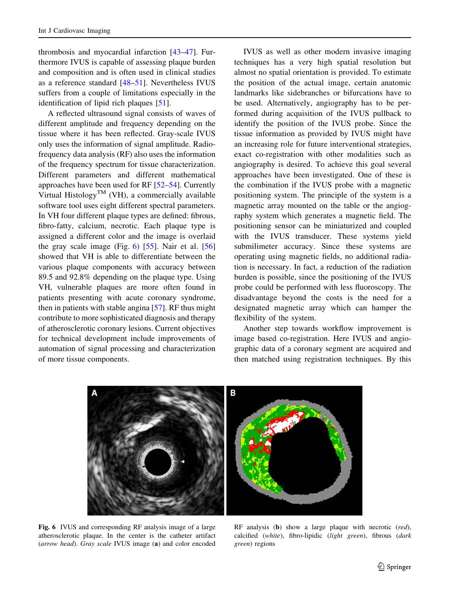thrombosis and myocardial infarction [\[43–47\]](#page-9-0). Furthermore IVUS is capable of assessing plaque burden and composition and is often used in clinical studies as a reference standard [\[48–51](#page-9-0)]. Nevertheless IVUS suffers from a couple of limitations especially in the identification of lipid rich plaques [[51\]](#page-9-0).

A reflected ultrasound signal consists of waves of different amplitude and frequency depending on the tissue where it has been reflected. Gray-scale IVUS only uses the information of signal amplitude. Radiofrequency data analysis (RF) also uses the information of the frequency spectrum for tissue characterization. Different parameters and different mathematical approaches have been used for RF [\[52–54](#page-9-0)]. Currently Virtual Histology<sup>TM</sup> (VH), a commercially available software tool uses eight different spectral parameters. In VH four different plaque types are defined: fibrous, fibro-fatty, calcium, necrotic. Each plaque type is assigned a different color and the image is overlaid the gray scale image (Fig.  $6$ ) [\[55](#page-9-0)]. Nair et al. [[56\]](#page-9-0) showed that VH is able to differentiate between the various plaque components with accuracy between 89.5 and 92.8% depending on the plaque type. Using VH, vulnerable plaques are more often found in patients presenting with acute coronary syndrome, then in patients with stable angina [[57\]](#page-9-0). RF thus might contribute to more sophisticated diagnosis and therapy of atherosclerotic coronary lesions. Current objectives for technical development include improvements of automation of signal processing and characterization of more tissue components.

IVUS as well as other modern invasive imaging techniques has a very high spatial resolution but almost no spatial orientation is provided. To estimate the position of the actual image, certain anatomic landmarks like sidebranches or bifurcations have to be used. Alternatively, angiography has to be performed during acquisition of the IVUS pullback to identify the position of the IVUS probe. Since the tissue information as provided by IVUS might have an increasing role for future interventional strategies, exact co-registration with other modalities such as angiography is desired. To achieve this goal several approaches have been investigated. One of these is the combination if the IVUS probe with a magnetic positioning system. The principle of the system is a magnetic array mounted on the table or the angiography system which generates a magnetic field. The positioning sensor can be miniaturized and coupled with the IVUS transducer. These systems yield submilimeter accuracy. Since these systems are operating using magnetic fields, no additional radiation is necessary. In fact, a reduction of the radiation burden is possible, since the positioning of the IVUS probe could be performed with less fluoroscopy. The disadvantage beyond the costs is the need for a designated magnetic array which can hamper the flexibility of the system.

Another step towards workflow improvement is image based co-registration. Here IVUS and angiographic data of a coronary segment are acquired and then matched using registration techniques. By this



Fig. 6 IVUS and corresponding RF analysis image of a large atherosclerotic plaque. In the center is the catheter artifact (arrow head). Gray scale IVUS image (a) and color encoded

RF analysis (b) show a large plaque with necrotic (red), calcified (white), fibro-lipidic (light green), fibrous (dark green) regions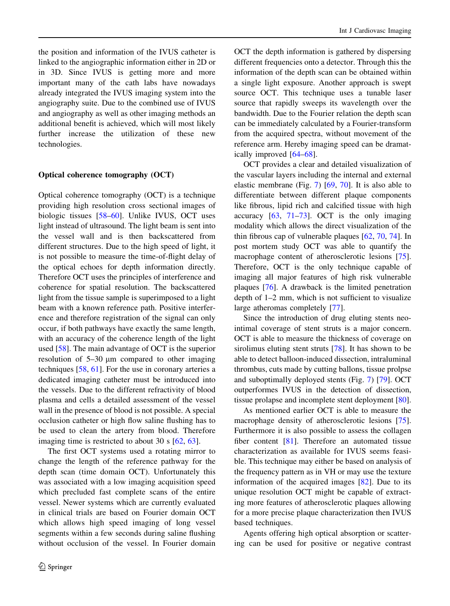the position and information of the IVUS catheter is linked to the angiographic information either in 2D or in 3D. Since IVUS is getting more and more important many of the cath labs have nowadays already integrated the IVUS imaging system into the angiography suite. Due to the combined use of IVUS and angiography as well as other imaging methods an additional benefit is achieved, which will most likely further increase the utilization of these new technologies.

#### Optical coherence tomography (OCT)

Optical coherence tomography (OCT) is a technique providing high resolution cross sectional images of biologic tissues [\[58](#page-9-0)[–60](#page-10-0)]. Unlike IVUS, OCT uses light instead of ultrasound. The light beam is sent into the vessel wall and is then backscattered from different structures. Due to the high speed of light, it is not possible to measure the time-of-flight delay of the optical echoes for depth information directly. Therefore OCT uses the principles of interference and coherence for spatial resolution. The backscattered light from the tissue sample is superimposed to a light beam with a known reference path. Positive interference and therefore registration of the signal can only occur, if both pathways have exactly the same length, with an accuracy of the coherence length of the light used  $[58]$  $[58]$ . The main advantage of OCT is the superior resolution of  $5-30 \mu m$  compared to other imaging techniques  $[58, 61]$  $[58, 61]$  $[58, 61]$  $[58, 61]$ . For the use in coronary arteries a dedicated imaging catheter must be introduced into the vessels. Due to the different refractivity of blood plasma and cells a detailed assessment of the vessel wall in the presence of blood is not possible. A special occlusion catheter or high flow saline flushing has to be used to clean the artery from blood. Therefore imaging time is restricted to about 30 s [[62,](#page-10-0) [63](#page-10-0)].

The first OCT systems used a rotating mirror to change the length of the reference pathway for the depth scan (time domain OCT). Unfortunately this was associated with a low imaging acquisition speed which precluded fast complete scans of the entire vessel. Newer systems which are currently evaluated in clinical trials are based on Fourier domain OCT which allows high speed imaging of long vessel segments within a few seconds during saline flushing without occlusion of the vessel. In Fourier domain

OCT the depth information is gathered by dispersing different frequencies onto a detector. Through this the information of the depth scan can be obtained within a single light exposure. Another approach is swept source OCT. This technique uses a tunable laser source that rapidly sweeps its wavelength over the bandwidth. Due to the Fourier relation the depth scan can be immediately calculated by a Fourier-transform from the acquired spectra, without movement of the reference arm. Hereby imaging speed can be dramatically improved [[64–68\]](#page-10-0).

OCT provides a clear and detailed visualization of the vascular layers including the internal and external elastic membrane (Fig. [7](#page-6-0)) [\[69](#page-10-0), [70](#page-10-0)]. It is also able to differentiate between different plaque components like fibrous, lipid rich and calcified tissue with high accuracy [\[63](#page-10-0), [71–73\]](#page-10-0). OCT is the only imaging modality which allows the direct visualization of the thin fibrous cap of vulnerable plaques [\[62](#page-10-0), [70](#page-10-0), [74](#page-10-0)]. In post mortem study OCT was able to quantify the macrophage content of atherosclerotic lesions [\[75](#page-10-0)]. Therefore, OCT is the only technique capable of imaging all major features of high risk vulnerable plaques [[76\]](#page-10-0). A drawback is the limited penetration depth of 1–2 mm, which is not sufficient to visualize large atheromas completely [\[77](#page-10-0)].

Since the introduction of drug eluting stents neointimal coverage of stent struts is a major concern. OCT is able to measure the thickness of coverage on sirolimus eluting stent struts [\[78](#page-10-0)]. It has shown to be able to detect balloon-induced dissection, intraluminal thrombus, cuts made by cutting ballons, tissue prolpse and suboptimally deployed stents (Fig. [7](#page-6-0)) [\[79](#page-10-0)]. OCT outperformes IVUS in the detection of dissection, tissue prolapse and incomplete stent deployment [\[80](#page-10-0)].

As mentioned earlier OCT is able to measure the macrophage density of atherosclerotic lesions [\[75](#page-10-0)]. Furthermore it is also possible to assess the collagen fiber content [[81\]](#page-10-0). Therefore an automated tissue characterization as available for IVUS seems feasible. This technique may either be based on analysis of the frequency pattern as in VH or may use the texture information of the acquired images [[82\]](#page-10-0). Due to its unique resolution OCT might be capable of extracting more features of atherosclerotic plaques allowing for a more precise plaque characterization then IVUS based techniques.

Agents offering high optical absorption or scattering can be used for positive or negative contrast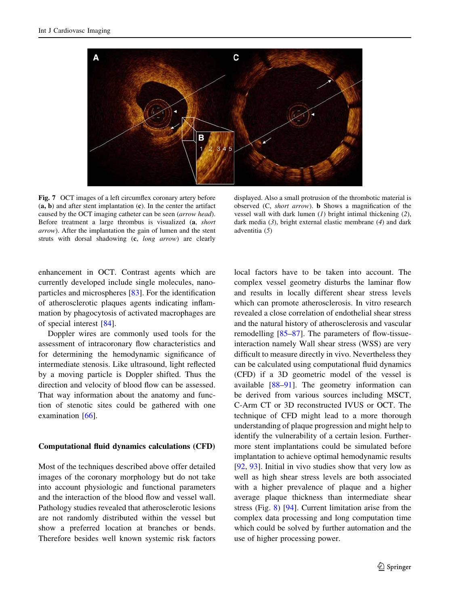<span id="page-6-0"></span>

Fig. 7 OCT images of a left circumflex coronary artery before  $(a, b)$  and after stent implantation  $(c)$ . In the center the artifact caused by the OCT imaging catheter can be seen (arrow head). Before treatment a large thrombus is visualized (a, short arrow). After the implantation the gain of lumen and the stent struts with dorsal shadowing (c, long arrow) are clearly

displayed. Also a small protrusion of the thrombotic material is observed (C, short arrow). b Shows a magnification of the vessel wall with dark lumen  $(1)$  bright intimal thickening  $(2)$ , dark media  $(3)$ , bright external elastic membrane  $(4)$  and dark adventitia (5)

enhancement in OCT. Contrast agents which are currently developed include single molecules, nanoparticles and microspheres [[83\]](#page-10-0). For the identification of atherosclerotic plaques agents indicating inflammation by phagocytosis of activated macrophages are of special interest [[84\]](#page-10-0).

Doppler wires are commonly used tools for the assessment of intracoronary flow characteristics and for determining the hemodynamic significance of intermediate stenosis. Like ultrasound, light reflected by a moving particle is Doppler shifted. Thus the direction and velocity of blood flow can be assessed. That way information about the anatomy and function of stenotic sites could be gathered with one examination [[66\]](#page-10-0).

#### Computational fluid dynamics calculations (CFD)

Most of the techniques described above offer detailed images of the coronary morphology but do not take into account physiologic and functional parameters and the interaction of the blood flow and vessel wall. Pathology studies revealed that atherosclerotic lesions are not randomly distributed within the vessel but show a preferred location at branches or bends. Therefore besides well known systemic risk factors

local factors have to be taken into account. The complex vessel geometry disturbs the laminar flow and results in locally different shear stress levels which can promote atherosclerosis. In vitro research revealed a close correlation of endothelial shear stress and the natural history of atherosclerosis and vascular remodelling [\[85–87](#page-10-0)]. The parameters of flow-tissueinteraction namely Wall shear stress (WSS) are very difficult to measure directly in vivo. Nevertheless they can be calculated using computational fluid dynamics (CFD) if a 3D geometric model of the vessel is available [[88–](#page-10-0)[91\]](#page-11-0). The geometry information can be derived from various sources including MSCT, C-Arm CT or 3D reconstructed IVUS or OCT. The technique of CFD might lead to a more thorough understanding of plaque progression and might help to identify the vulnerability of a certain lesion. Furthermore stent implantations could be simulated before implantation to achieve optimal hemodynamic results [\[92](#page-11-0), [93\]](#page-11-0). Initial in vivo studies show that very low as well as high shear stress levels are both associated with a higher prevalence of plaque and a higher average plaque thickness than intermediate shear stress (Fig. [8\)](#page-7-0) [[94\]](#page-11-0). Current limitation arise from the complex data processing and long computation time which could be solved by further automation and the use of higher processing power.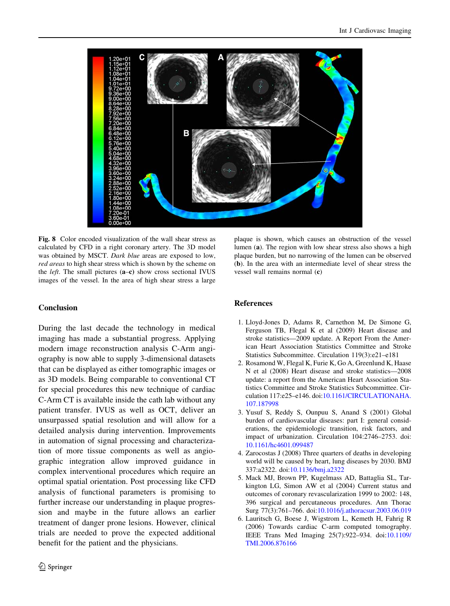<span id="page-7-0"></span>

Fig. 8 Color encoded visualization of the wall shear stress as calculated by CFD in a right coronary artery. The 3D model was obtained by MSCT. Dark blue areas are exposed to low, red areas to high shear stress which is shown by the scheme on the *left*. The small pictures (a–c) show cross sectional IVUS images of the vessel. In the area of high shear stress a large

## Conclusion

During the last decade the technology in medical imaging has made a substantial progress. Applying modern image reconstruction analysis C-Arm angiography is now able to supply 3-dimensional datasets that can be displayed as either tomographic images or as 3D models. Being comparable to conventional CT for special procedures this new technique of cardiac C-Arm CT is available inside the cath lab without any patient transfer. IVUS as well as OCT, deliver an unsurpassed spatial resolution and will allow for a detailed analysis during intervention. Improvements in automation of signal processing and characterization of more tissue components as well as angiographic integration allow improved guidance in complex interventional procedures which require an optimal spatial orientation. Post processing like CFD analysis of functional parameters is promising to further increase our understanding in plaque progression and maybe in the future allows an earlier treatment of danger prone lesions. However, clinical trials are needed to prove the expected additional benefit for the patient and the physicians.

plaque is shown, which causes an obstruction of the vessel lumen (a). The region with low shear stress also shows a high plaque burden, but no narrowing of the lumen can be observed (b). In the area with an intermediate level of shear stress the vessel wall remains normal (c)

## References

- 1. Lloyd-Jones D, Adams R, Carnethon M, De Simone G, Ferguson TB, Flegal K et al (2009) Heart disease and stroke statistics—2009 update. A Report From the American Heart Association Statistics Committee and Stroke Statistics Subcommittee. Circulation 119(3):e21–e181
- 2. Rosamond W, Flegal K, Furie K, Go A, Greenlund K, Haase N et al (2008) Heart disease and stroke statistics—2008 update: a report from the American Heart Association Statistics Committee and Stroke Statistics Subcommittee. Circulation 117:e25–e146. doi:[10.1161/CIRCULATIONAHA.](http://dx.doi.org/10.1161/CIRCULATIONAHA.107.187998) [107.187998](http://dx.doi.org/10.1161/CIRCULATIONAHA.107.187998)
- 3. Yusuf S, Reddy S, Ounpuu S, Anand S (2001) Global burden of cardiovascular diseases: part I: general considerations, the epidemiologic transition, risk factors, and impact of urbanization. Circulation 104:2746–2753. doi: [10.1161/hc4601.099487](http://dx.doi.org/10.1161/hc4601.099487)
- 4. Zarocostas J (2008) Three quarters of deaths in developing world will be caused by heart, lung diseases by 2030. BMJ 337:a2322. doi:[10.1136/bmj.a2322](http://dx.doi.org/10.1136/bmj.a2322)
- 5. Mack MJ, Brown PP, Kugelmass AD, Battaglia SL, Tarkington LG, Simon AW et al (2004) Current status and outcomes of coronary revascularization 1999 to 2002: 148, 396 surgical and percutaneous procedures. Ann Thorac Surg 77(3):761–766. doi[:10.1016/j.athoracsur.2003.06.019](http://dx.doi.org/10.1016/j.athoracsur.2003.06.019)
- 6. Lauritsch G, Boese J, Wigstrom L, Kemeth H, Fahrig R (2006) Towards cardiac C-arm computed tomography. IEEE Trans Med Imaging 25(7):922–934. doi[:10.1109/](http://dx.doi.org/10.1109/TMI.2006.876166) [TMI.2006.876166](http://dx.doi.org/10.1109/TMI.2006.876166)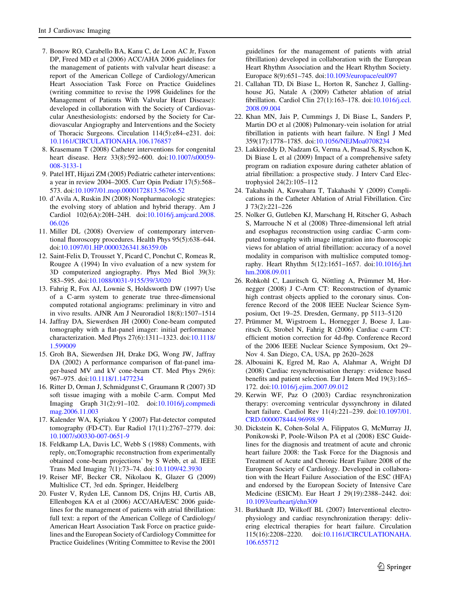- <span id="page-8-0"></span>7. Bonow RO, Carabello BA, Kanu C, de Leon AC Jr, Faxon DP, Freed MD et al (2006) ACC/AHA 2006 guidelines for the management of patients with valvular heart disease: a report of the American College of Cardiology/American Heart Association Task Force on Practice Guidelines (writing committee to revise the 1998 Guidelines for the Management of Patients With Valvular Heart Disease): developed in collaboration with the Society of Cardiovascular Anesthesiologists: endorsed by the Society for Cardiovascular Angiography and Interventions and the Society of Thoracic Surgeons. Circulation 114(5):e84–e231. doi: [10.1161/CIRCULATIONAHA.106.176857](http://dx.doi.org/10.1161/CIRCULATIONAHA.106.176857)
- 8. Krasemann T (2008) Catheter interventions for congenital heart disease. Herz 33(8):592–600. doi[:10.1007/s00059-](http://dx.doi.org/10.1007/s00059-008-3133-1) [008-3133-1](http://dx.doi.org/10.1007/s00059-008-3133-1)
- 9. Patel HT, Hijazi ZM (2005) Pediatric catheter interventions: a year in review 2004–2005. Curr Opin Pediatr 17(5):568– 573. doi:[10.1097/01.mop.0000172813.56766.52](http://dx.doi.org/10.1097/01.mop.0000172813.56766.52)
- 10. d'Avila A, Ruskin JN (2008) Nonpharmacologic strategies: the evolving story of ablation and hybrid therapy. Am J Cardiol 102(6A):20H–24H. doi[:10.1016/j.amjcard.2008.](http://dx.doi.org/10.1016/j.amjcard.2008.06.026) [06.026](http://dx.doi.org/10.1016/j.amjcard.2008.06.026)
- 11. Miller DL (2008) Overview of contemporary interventional fluoroscopy procedures. Health Phys 95(5):638–644. doi:[10.1097/01.HP.0000326341.86359.0b](http://dx.doi.org/10.1097/01.HP.0000326341.86359.0b)
- 12. Saint-Felix D, Trousset Y, Picard C, Ponchut C, Romeas R, Rougee A (1994) In vivo evaluation of a new system for 3D computerized angiography. Phys Med Biol 39(3): 583–595. doi[:10.1088/0031-9155/39/3/020](http://dx.doi.org/10.1088/0031-9155/39/3/020)
- 13. Fahrig R, Fox AJ, Lownie S, Holdsworth DW (1997) Use of a C-arm system to generate true three-dimensional computed rotational angiograms: preliminary in vitro and in vivo results. AJNR Am J Neuroradiol 18(8):1507–1514
- 14. Jaffray DA, Siewerdsen JH (2000) Cone-beam computed tomography with a flat-panel imager: initial performance characterization. Med Phys 27(6):1311–1323. doi[:10.1118/](http://dx.doi.org/10.1118/1.599009) [1.599009](http://dx.doi.org/10.1118/1.599009)
- 15. Groh BA, Siewerdsen JH, Drake DG, Wong JW, Jaffray DA (2002) A performance comparison of flat-panel imager-based MV and kV cone-beam CT. Med Phys 29(6): 967–975. doi[:10.1118/1.1477234](http://dx.doi.org/10.1118/1.1477234)
- 16. Ritter D, Orman J, Schmidgunst C, Graumann R (2007) 3D soft tissue imaging with a mobile C-arm. Comput Med Imaging Graph 31(2):91–102. doi:[10.1016/j.compmedi](http://dx.doi.org/10.1016/j.compmedimag.2006.11.003) [mag.2006.11.003](http://dx.doi.org/10.1016/j.compmedimag.2006.11.003)
- 17. Kalender WA, Kyriakou Y (2007) Flat-detector computed tomography (FD-CT). Eur Radiol 17(11):2767–2779. doi: [10.1007/s00330-007-0651-9](http://dx.doi.org/10.1007/s00330-007-0651-9)
- 18. Feldkamp LA, Davis LC, Webb S (1988) Comments, with reply, on;Tomographic reconstruction from experimentally obtained cone-beam projections' by S Webb, et al. IEEE Trans Med Imaging 7(1):73–74. doi[:10.1109/42.3930](http://dx.doi.org/10.1109/42.3930)
- 19. Reiser MF, Becker CR, Nikolaou K, Glazer G (2009) Multislice CT, 3rd edn. Springer, Heidelberg
- 20. Fuster V, Ryden LE, Cannom DS, Crijns HJ, Curtis AB, Ellenbogen KA et al (2006) ACC/AHA/ESC 2006 guidelines for the management of patients with atrial fibrillation: full text: a report of the American College of Cardiology/ American Heart Association Task Force on practice guidelines and the European Society of Cardiology Committee for Practice Guidelines (Writing Committee to Revise the 2001

guidelines for the management of patients with atrial fibrillation) developed in collaboration with the European Heart Rhythm Association and the Heart Rhythm Society. Europace 8(9):651–745. doi:[10.1093/europace/eul097](http://dx.doi.org/10.1093/europace/eul097)

- 21. Callahan TD, Di Biase L, Horton R, Sanchez J, Gallinghouse JG, Natale A (2009) Catheter ablation of atrial fibrillation. Cardiol Clin 27(1):163–178. doi:[10.1016/j.ccl.](http://dx.doi.org/10.1016/j.ccl.2008.09.004) [2008.09.004](http://dx.doi.org/10.1016/j.ccl.2008.09.004)
- 22. Khan MN, Jais P, Cummings J, Di Biase L, Sanders P, Martin DO et al (2008) Pulmonary-vein isolation for atrial fibrillation in patients with heart failure. N Engl J Med 359(17):1778–1785. doi[:10.1056/NEJMoa0708234](http://dx.doi.org/10.1056/NEJMoa0708234)
- 23. Lakkireddy D, Nadzam G, Verma A, Prasad S, Ryschon K, Di Biase L et al (2009) Impact of a comprehensive safety program on radiation exposure during catheter ablation of atrial fibrillation: a prospective study. J Interv Card Electrophysiol 24(2):105–112
- 24. Takahashi A, Kuwahara T, Takahashi Y (2009) Complications in the Catheter Ablation of Atrial Fibrillation. Circ J 73(2):221–226
- 25. Nolker G, Gutleben KJ, Marschang H, Ritscher G, Asbach S, Marrouche N et al (2008) Three-dimensional left atrial and esophagus reconstruction using cardiac C-arm computed tomography with image integration into fluoroscopic views for ablation of atrial fibrillation: accuracy of a novel modality in comparison with multislice computed tomography. Heart Rhythm 5(12):1651–1657. doi[:10.1016/j.hrt](http://dx.doi.org/10.1016/j.hrthm.2008.09.011) [hm.2008.09.011](http://dx.doi.org/10.1016/j.hrthm.2008.09.011)
- 26. Rohkohl C, Lauritsch G, Nöttling A, Prümmer M, Hornegger (2008) J C-Arm CT: Reconstruction of dynamic high contrast objects applied to the coronary sinus. Conference Record of the 2008 IEEE Nuclear Science Symposium, Oct 19–25. Dresden, Germany, pp 5113–5120
- 27. Prümmer M, Wigstroem L, Hornegger J, Boese J, Lauritsch G, Strobel N, Fahrig R (2006) Cardiac c-arm CT: efficient motion correction for 4d-fbp. Conference Record of the 2006 IEEE Nuclear Science Symposium, Oct 29– Nov 4. San Diego, CA, USA, pp 2620–2628
- 28. Albouaini K, Egred M, Rao A, Alahmar A, Wright DJ (2008) Cardiac resynchronisation therapy: evidence based benefits and patient selection. Eur J Intern Med 19(3):165– 172. doi:[10.1016/j.ejim.2007.09.012](http://dx.doi.org/10.1016/j.ejim.2007.09.012)
- 29. Kerwin WF, Paz O (2003) Cardiac resynchronization therapy: overcoming ventricular dyssynchrony in dilated heart failure. Cardiol Rev 11(4):221–239. doi:[10.1097/01.](http://dx.doi.org/10.1097/01.CRD.0000078444.96998.99) [CRD.0000078444.96998.99](http://dx.doi.org/10.1097/01.CRD.0000078444.96998.99)
- 30. Dickstein K, Cohen-Solal A, Filippatos G, McMurray JJ, Ponikowski P, Poole-Wilson PA et al (2008) ESC Guidelines for the diagnosis and treatment of acute and chronic heart failure 2008: the Task Force for the Diagnosis and Treatment of Acute and Chronic Heart Failure 2008 of the European Society of Cardiology. Developed in collaboration with the Heart Failure Association of the ESC (HFA) and endorsed by the European Society of Intensive Care Medicine (ESICM). Eur Heart J 29(19):2388–2442. doi: [10.1093/eurheartj/ehn309](http://dx.doi.org/10.1093/eurheartj/ehn309)
- 31. Burkhardt JD, Wilkoff BL (2007) Interventional electrophysiology and cardiac resynchronization therapy: delivering electrical therapies for heart failure. Circulation 115(16):2208–2220. doi:[10.1161/CIRCULATIONAHA.](http://dx.doi.org/10.1161/CIRCULATIONAHA.106.655712) [106.655712](http://dx.doi.org/10.1161/CIRCULATIONAHA.106.655712)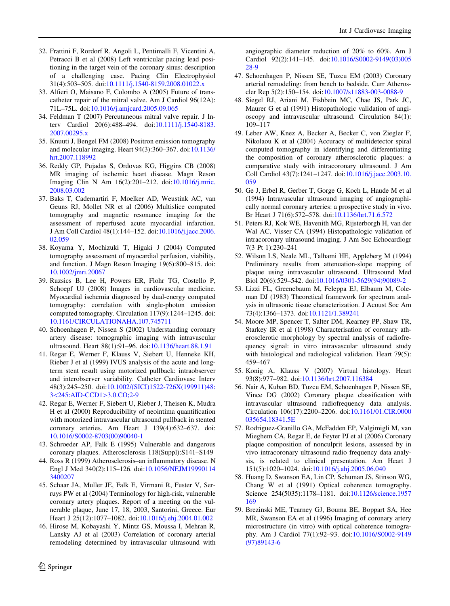- <span id="page-9-0"></span>32. Frattini F, Rordorf R, Angoli L, Pentimalli F, Vicentini A, Petracci B et al (2008) Left ventricular pacing lead positioning in the target vein of the coronary sinus: description of a challenging case. Pacing Clin Electrophysiol 31(4):503–505. doi[:10.1111/j.1540-8159.2008.01022.x](http://dx.doi.org/10.1111/j.1540-8159.2008.01022.x)
- 33. Alfieri O, Maisano F, Colombo A (2005) Future of transcatheter repair of the mitral valve. Am J Cardiol 96(12A): 71L–75L. doi[:10.1016/j.amjcard.2005.09.065](http://dx.doi.org/10.1016/j.amjcard.2005.09.065)
- 34. Feldman T (2007) Percutaneous mitral valve repair. J Interv Cardiol 20(6):488–494. doi:[10.1111/j.1540-8183.](http://dx.doi.org/10.1111/j.1540-8183.2007.00295.x) [2007.00295.x](http://dx.doi.org/10.1111/j.1540-8183.2007.00295.x)
- 35. Knuuti J, Bengel FM (2008) Positron emission tomography and molecular imaging. Heart 94(3):360–367. doi[:10.1136/](http://dx.doi.org/10.1136/hrt.2007.118992) [hrt.2007.118992](http://dx.doi.org/10.1136/hrt.2007.118992)
- 36. Reddy GP, Pujadas S, Ordovas KG, Higgins CB (2008) MR imaging of ischemic heart disease. Magn Reson Imaging Clin N Am 16(2):201–212. doi[:10.1016/j.mric.](http://dx.doi.org/10.1016/j.mric.2008.03.002) [2008.03.002](http://dx.doi.org/10.1016/j.mric.2008.03.002)
- 37. Baks T, Cademartiri F, Moelker AD, Weustink AC, van Geuns RJ, Mollet NR et al (2006) Multislice computed tomography and magnetic resonance imaging for the assessment of reperfused acute myocardial infarction. J Am Coll Cardiol 48(1):144–152. doi:[10.1016/j.jacc.2006.](http://dx.doi.org/10.1016/j.jacc.2006.02.059) [02.059](http://dx.doi.org/10.1016/j.jacc.2006.02.059)
- 38. Koyama Y, Mochizuki T, Higaki J (2004) Computed tomography assessment of myocardial perfusion, viability, and function. J Magn Reson Imaging 19(6):800–815. doi: [10.1002/jmri.20067](http://dx.doi.org/10.1002/jmri.20067)
- 39. Ruzsics B, Lee H, Powers ER, Flohr TG, Costello P, Schoepf UJ (2008) Images in cardiovascular medicine. Myocardial ischemia diagnosed by dual-energy computed tomography: correlation with single-photon emission computed tomography. Circulation 117(9):1244–1245. doi: [10.1161/CIRCULATIONAHA.107.745711](http://dx.doi.org/10.1161/CIRCULATIONAHA.107.745711)
- 40. Schoenhagen P, Nissen S (2002) Understanding coronary artery disease: tomographic imaging with intravascular ultrasound. Heart 88(1):91–96. doi[:10.1136/heart.88.1.91](http://dx.doi.org/10.1136/heart.88.1.91)
- 41. Regar E, Werner F, Klauss V, Siebert U, Henneke KH, Rieber J et al (1999) IVUS analysis of the acute and longterm stent result using motorized pullback: intraobserver and interobserver variability. Catheter Cardiovasc Interv 48(3):245–250. doi[:10.1002/\(SICI\)1522-726X\(199911\)48:](http://dx.doi.org/10.1002/(SICI)1522-726X(199911)48:3%3c245:AID-CCD1%3e3.0.CO;2-9) 3<[245:AID-CCD1](http://dx.doi.org/10.1002/(SICI)1522-726X(199911)48:3%3c245:AID-CCD1%3e3.0.CO;2-9)>3.0.CO;2-9
- 42. Regar E, Werner F, Siebert U, Rieber J, Theisen K, Mudra H et al (2000) Reproducibility of neointima quantification with motorized intravascular ultrasound pullback in stented coronary arteries. Am Heart J 139(4):632–637. doi: [10.1016/S0002-8703\(00\)90040-1](http://dx.doi.org/10.1016/S0002-8703(00)90040-1)
- 43. Schroeder AP, Falk E (1995) Vulnerable and dangerous coronary plaques. Atherosclerosis 118(Suppl):S141–S149
- 44. Ross R (1999) Atherosclerosis–an inflammatory disease. N Engl J Med 340(2):115–126. doi[:10.1056/NEJM19990114](http://dx.doi.org/10.1056/NEJM199901143400207) [3400207](http://dx.doi.org/10.1056/NEJM199901143400207)
- 45. Schaar JA, Muller JE, Falk E, Virmani R, Fuster V, Serruys PW et al (2004) Terminology for high-risk, vulnerable coronary artery plaques. Report of a meeting on the vulnerable plaque, June 17, 18, 2003, Santorini, Greece. Eur Heart J 25(12):1077–1082. doi:[10.1016/j.ehj.2004.01.002](http://dx.doi.org/10.1016/j.ehj.2004.01.002)
- 46. Hirose M, Kobayashi Y, Mintz GS, Moussa I, Mehran R, Lansky AJ et al (2003) Correlation of coronary arterial remodeling determined by intravascular ultrasound with

angiographic diameter reduction of 20% to 60%. Am J Cardiol 92(2):141–145. doi[:10.1016/S0002-9149\(03\)005](http://dx.doi.org/10.1016/S0002-9149(03)00528-9) [28-9](http://dx.doi.org/10.1016/S0002-9149(03)00528-9)

- 47. Schoenhagen P, Nissen SE, Tuzcu EM (2003) Coronary arterial remodeling: from bench to bedside. Curr Atheroscler Rep 5(2):150–154. doi:[10.1007/s11883-003-0088-9](http://dx.doi.org/10.1007/s11883-003-0088-9)
- 48. Siegel RJ, Ariani M, Fishbein MC, Chae JS, Park JC, Maurer G et al (1991) Histopathologic validation of angioscopy and intravascular ultrasound. Circulation 84(1): 109–117
- 49. Leber AW, Knez A, Becker A, Becker C, von Ziegler F, Nikolaou K et al (2004) Accuracy of multidetector spiral computed tomography in identifying and differentiating the composition of coronary atherosclerotic plaques: a comparative study with intracoronary ultrasound. J Am Coll Cardiol 43(7):1241–1247. doi[:10.1016/j.jacc.2003.10.](http://dx.doi.org/10.1016/j.jacc.2003.10.059) [059](http://dx.doi.org/10.1016/j.jacc.2003.10.059)
- 50. Ge J, Erbel R, Gerber T, Gorge G, Koch L, Haude M et al (1994) Intravascular ultrasound imaging of angiographically normal coronary arteries: a prospective study in vivo. Br Heart J 71(6):572–578. doi[:10.1136/hrt.71.6.572](http://dx.doi.org/10.1136/hrt.71.6.572)
- 51. Peters RJ, Kok WE, Havenith MG, Rijsterborgh H, van der Wal AC, Visser CA (1994) Histopathologic validation of intracoronary ultrasound imaging. J Am Soc Echocardiogr 7(3 Pt 1):230–241
- 52. Wilson LS, Neale ML, Talhami HE, Appleberg M (1994) Preliminary results from attenuation-slope mapping of plaque using intravascular ultrasound. Ultrasound Med Biol 20(6):529–542. doi:[10.1016/0301-5629\(94\)90089-2](http://dx.doi.org/10.1016/0301-5629(94)90089-2)
- 53. Lizzi FL, Greenebaum M, Feleppa EJ, Elbaum M, Coleman DJ (1983) Theoretical framework for spectrum analysis in ultrasonic tissue characterization. J Acoust Soc Am 73(4):1366–1373. doi:[10.1121/1.389241](http://dx.doi.org/10.1121/1.389241)
- 54. Moore MP, Spencer T, Salter DM, Kearney PP, Shaw TR, Starkey IR et al (1998) Characterisation of coronary atherosclerotic morphology by spectral analysis of radiofrequency signal: in vitro intravascular ultrasound study with histological and radiological validation. Heart 79(5): 459–467
- 55. Konig A, Klauss V (2007) Virtual histology. Heart 93(8):977–982. doi[:10.1136/hrt.2007.116384](http://dx.doi.org/10.1136/hrt.2007.116384)
- 56. Nair A, Kuban BD, Tuzcu EM, Schoenhagen P, Nissen SE, Vince DG (2002) Coronary plaque classification with intravascular ultrasound radiofrequency data analysis. Circulation 106(17):2200–2206. doi:[10.1161/01.CIR.0000](http://dx.doi.org/10.1161/01.CIR.0000035654.18341.5E) [035654.18341.5E](http://dx.doi.org/10.1161/01.CIR.0000035654.18341.5E)
- 57. Rodriguez-Granillo GA, McFadden EP, Valgimigli M, van Mieghem CA, Regar E, de Feyter PJ et al (2006) Coronary plaque composition of nonculprit lesions, assessed by in vivo intracoronary ultrasound radio frequency data analysis, is related to clinical presentation. Am Heart J 151(5):1020–1024. doi[:10.1016/j.ahj.2005.06.040](http://dx.doi.org/10.1016/j.ahj.2005.06.040)
- 58. Huang D, Swanson EA, Lin CP, Schuman JS, Stinson WG, Chang W et al (1991) Optical coherence tomography. Science 254(5035):1178–1181. doi[:10.1126/science.1957](http://dx.doi.org/10.1126/science.1957169) [169](http://dx.doi.org/10.1126/science.1957169)
- 59. Brezinski ME, Tearney GJ, Bouma BE, Boppart SA, Hee MR, Swanson EA et al (1996) Imaging of coronary artery microstructure (in vitro) with optical coherence tomography. Am J Cardiol 77(1):92–93. doi[:10.1016/S0002-9149](http://dx.doi.org/10.1016/S0002-9149(97)89143-6) [\(97\)89143-6](http://dx.doi.org/10.1016/S0002-9149(97)89143-6)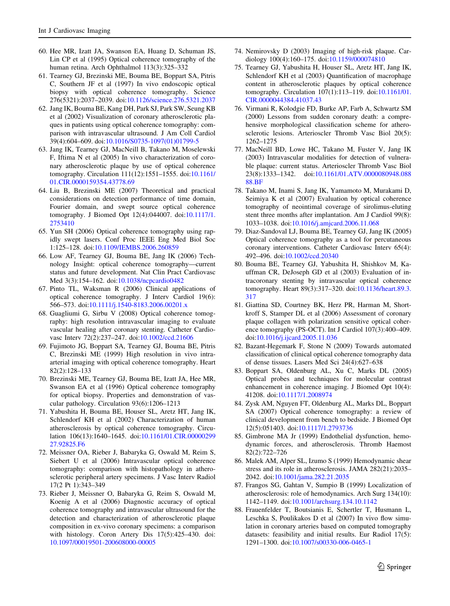- <span id="page-10-0"></span>60. Hee MR, Izatt JA, Swanson EA, Huang D, Schuman JS, Lin CP et al (1995) Optical coherence tomography of the human retina. Arch Ophthalmol 113(3):325–332
- 61. Tearney GJ, Brezinski ME, Bouma BE, Boppart SA, Pitris C, Southern JF et al (1997) In vivo endoscopic optical biopsy with optical coherence tomography. Science 276(5321):2037–2039. doi[:10.1126/science.276.5321.2037](http://dx.doi.org/10.1126/science.276.5321.2037)
- 62. Jang IK, Bouma BE, Kang DH, Park SJ, Park SW, Seung KB et al (2002) Visualization of coronary atherosclerotic plaques in patients using optical coherence tomography: comparison with intravascular ultrasound. J Am Coll Cardiol 39(4):604–609. doi:[10.1016/S0735-1097\(01\)01799-5](http://dx.doi.org/10.1016/S0735-1097(01)01799-5)
- 63. Jang IK, Tearney GJ, MacNeill B, Takano M, Moselewski F, Iftima N et al (2005) In vivo characterization of coronary atherosclerotic plaque by use of optical coherence tomography. Circulation 111(12):1551–1555. doi[:10.1161/](http://dx.doi.org/10.1161/01.CIR.0000159354.43778.69) [01.CIR.0000159354.43778.69](http://dx.doi.org/10.1161/01.CIR.0000159354.43778.69)
- 64. Liu B, Brezinski ME (2007) Theoretical and practical considerations on detection performance of time domain, Fourier domain, and swept source optical coherence tomography. J Biomed Opt 12(4):044007. doi:[10.1117/1.](http://dx.doi.org/10.1117/1.2753410) [2753410](http://dx.doi.org/10.1117/1.2753410)
- 65. Yun SH (2006) Optical coherence tomography using rapidly swept lasers. Conf Proc IEEE Eng Med Biol Soc 1:125–128. doi[:10.1109/IEMBS.2006.260859](http://dx.doi.org/10.1109/IEMBS.2006.260859)
- 66. Low AF, Tearney GJ, Bouma BE, Jang IK (2006) Technology Insight: optical coherence tomography—current status and future development. Nat Clin Pract Cardiovasc Med 3(3):154–162. doi[:10.1038/ncpcardio0482](http://dx.doi.org/10.1038/ncpcardio0482)
- 67. Pinto TL, Waksman R (2006) Clinical applications of optical coherence tomography. J Interv Cardiol 19(6): 566–573. doi[:10.1111/j.1540-8183.2006.00201.x](http://dx.doi.org/10.1111/j.1540-8183.2006.00201.x)
- 68. Guagliumi G, Sirbu V (2008) Optical coherence tomography: high resolution intravascular imaging to evaluate vascular healing after coronary stenting. Catheter Cardiovasc Interv 72(2):237–247. doi[:10.1002/ccd.21606](http://dx.doi.org/10.1002/ccd.21606)
- 69. Fujimoto JG, Boppart SA, Tearney GJ, Bouma BE, Pitris C, Brezinski ME (1999) High resolution in vivo intraarterial imaging with optical coherence tomography. Heart 82(2):128–133
- 70. Brezinski ME, Tearney GJ, Bouma BE, Izatt JA, Hee MR, Swanson EA et al (1996) Optical coherence tomography for optical biopsy. Properties and demonstration of vascular pathology. Circulation 93(6):1206–1213
- 71. Yabushita H, Bouma BE, Houser SL, Aretz HT, Jang IK, Schlendorf KH et al (2002) Characterization of human atherosclerosis by optical coherence tomography. Circulation 106(13):1640–1645. doi:[10.1161/01.CIR.00000299](http://dx.doi.org/10.1161/01.CIR.0000029927.92825.F6) [27.92825.F6](http://dx.doi.org/10.1161/01.CIR.0000029927.92825.F6)
- 72. Meissner OA, Rieber J, Babaryka G, Oswald M, Reim S, Siebert U et al (2006) Intravascular optical coherence tomography: comparison with histopathology in atherosclerotic peripheral artery specimens. J Vasc Interv Radiol 17(2 Pt 1):343–349
- 73. Rieber J, Meissner O, Babaryka G, Reim S, Oswald M, Koenig A et al (2006) Diagnostic accuracy of optical coherence tomography and intravascular ultrasound for the detection and characterization of atherosclerotic plaque composition in ex-vivo coronary specimens: a comparison with histology. Coron Artery Dis 17(5):425–430. doi: [10.1097/00019501-200608000-00005](http://dx.doi.org/10.1097/00019501-200608000-00005)
- 74. Nemirovsky D (2003) Imaging of high-risk plaque. Cardiology 100(4):160–175. doi[:10.1159/000074810](http://dx.doi.org/10.1159/000074810)
- 75. Tearney GJ, Yabushita H, Houser SL, Aretz HT, Jang IK, Schlendorf KH et al (2003) Quantification of macrophage content in atherosclerotic plaques by optical coherence tomography. Circulation 107(1):113–119. doi:[10.1161/01.](http://dx.doi.org/10.1161/01.CIR.0000044384.41037.43) [CIR.0000044384.41037.43](http://dx.doi.org/10.1161/01.CIR.0000044384.41037.43)
- 76. Virmani R, Kolodgie FD, Burke AP, Farb A, Schwartz SM (2000) Lessons from sudden coronary death: a comprehensive morphological classification scheme for atherosclerotic lesions. Arterioscler Thromb Vasc Biol 20(5): 1262–1275
- 77. MacNeill BD, Lowe HC, Takano M, Fuster V, Jang IK (2003) Intravascular modalities for detection of vulnerable plaque: current status. Arterioscler Thromb Vasc Biol 23(8):1333–1342. doi[:10.1161/01.ATV.0000080948.088](http://dx.doi.org/10.1161/01.ATV.0000080948.08888.BF) [88.BF](http://dx.doi.org/10.1161/01.ATV.0000080948.08888.BF)
- 78. Takano M, Inami S, Jang IK, Yamamoto M, Murakami D, Seimiya K et al (2007) Evaluation by optical coherence tomography of neointimal coverage of sirolimus-eluting stent three months after implantation. Am J Cardiol 99(8): 1033–1038. doi[:10.1016/j.amjcard.2006.11.068](http://dx.doi.org/10.1016/j.amjcard.2006.11.068)
- 79. Diaz-Sandoval LJ, Bouma BE, Tearney GJ, Jang IK (2005) Optical coherence tomography as a tool for percutaneous coronary interventions. Catheter Cardiovasc Interv 65(4): 492–496. doi:[10.1002/ccd.20340](http://dx.doi.org/10.1002/ccd.20340)
- 80. Bouma BE, Tearney GJ, Yabushita H, Shishkov M, Kauffman CR, DeJoseph GD et al (2003) Evaluation of intracoronary stenting by intravascular optical coherence tomography. Heart 89(3):317–320. doi[:10.1136/heart.89.3.](http://dx.doi.org/10.1136/heart.89.3.317) [317](http://dx.doi.org/10.1136/heart.89.3.317)
- 81. Giattina SD, Courtney BK, Herz PR, Harman M, Shortkroff S, Stamper DL et al (2006) Assessment of coronary plaque collagen with polarization sensitive optical coherence tomography (PS-OCT). Int J Cardiol 107(3):400–409. doi[:10.1016/j.ijcard.2005.11.036](http://dx.doi.org/10.1016/j.ijcard.2005.11.036)
- 82. Bazant-Hegemark F, Stone N (2009) Towards automated classification of clinical optical coherence tomography data of dense tissues. Lasers Med Sci 24(4):627–638
- 83. Boppart SA, Oldenburg AL, Xu C, Marks DL (2005) Optical probes and techniques for molecular contrast enhancement in coherence imaging. J Biomed Opt 10(4): 41208. doi[:10.1117/1.2008974](http://dx.doi.org/10.1117/1.2008974)
- 84. Zysk AM, Nguyen FT, Oldenburg AL, Marks DL, Boppart SA (2007) Optical coherence tomography: a review of clinical development from bench to bedside. J Biomed Opt 12(5):051403. doi[:10.1117/1.2793736](http://dx.doi.org/10.1117/1.2793736)
- 85. Gimbrone MA Jr (1999) Endothelial dysfunction, hemodynamic forces, and atherosclerosis. Thromb Haemost 82(2):722–726
- 86. Malek AM, Alper SL, Izumo S (1999) Hemodynamic shear stress and its role in atherosclerosis. JAMA 282(21):2035– 2042. doi:[10.1001/jama.282.21.2035](http://dx.doi.org/10.1001/jama.282.21.2035)
- 87. Frangos SG, Gahtan V, Sumpio B (1999) Localization of atherosclerosis: role of hemodynamics. Arch Surg 134(10): 1142–1149. doi[:10.1001/archsurg.134.10.1142](http://dx.doi.org/10.1001/archsurg.134.10.1142)
- 88. Frauenfelder T, Boutsianis E, Schertler T, Husmann L, Leschka S, Poulikakos D et al (2007) In vivo flow simulation in coronary arteries based on computed tomography datasets: feasibility and initial results. Eur Radiol 17(5): 1291–1300. doi[:10.1007/s00330-006-0465-1](http://dx.doi.org/10.1007/s00330-006-0465-1)